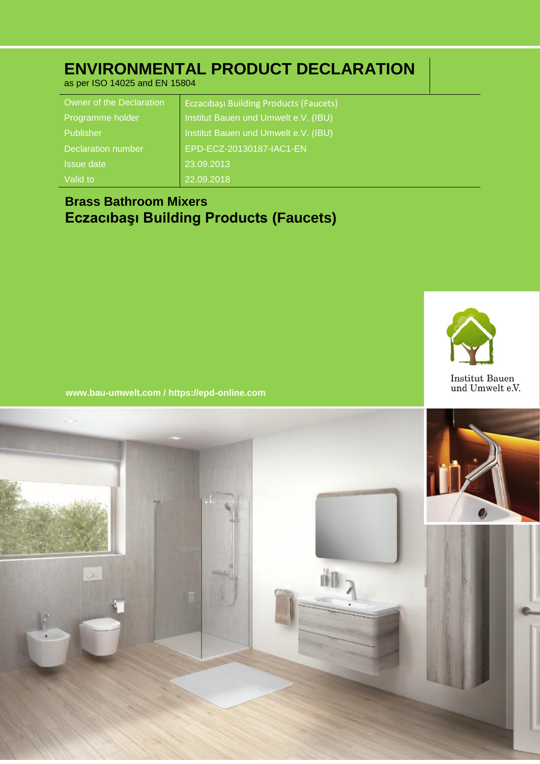## **ENVIRONMENTAL PRODUCT DECLARATION**

as per ISO 14025 and EN 15804

| Owner of the Declaration | <b>Eczacibasi Building Products (Faucets)</b> |
|--------------------------|-----------------------------------------------|
| Programme holder         | Institut Bauen und Umwelt e.V. (IBU)          |
| Publisher                | Institut Bauen und Umwelt e.V. (IBU)          |
| Declaration number       | EPD-ECZ-20130187-IAC1-EN                      |
| <b>Issue date</b>        | 23.09.2013                                    |
| Valid to                 | 22.09.2018                                    |

## **Brass Bathroom Mixers Eczacıbaşı Building Products (Faucets)**



**www.bau-umwelt.com / https://epd-online.com**

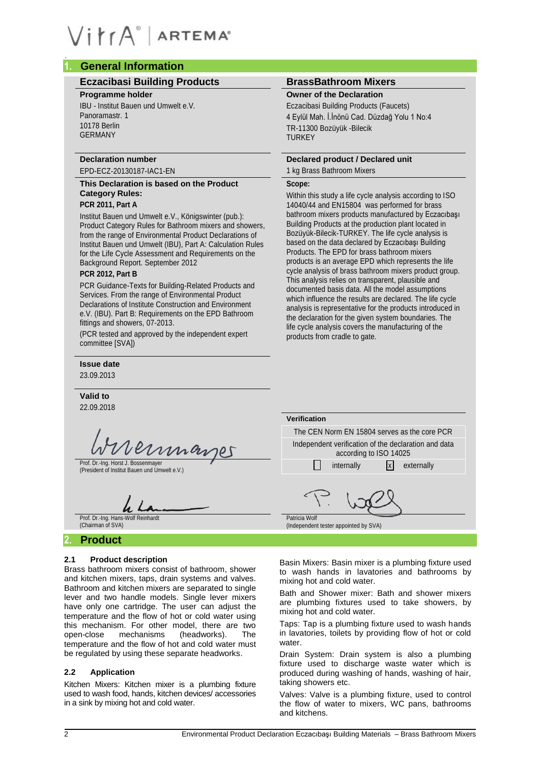## **1. General Information**

### **Eczacibasi Building Products BrassBathroom Mixers**

#### **Programme holder**

IBU - Institut Bauen und Umwelt e.V. Panoramastr. 1 10178 Berlin GERMANY

## **Declaration number**

## EPD-ECZ-20130187-IAC1-EN

## **This Declaration is based on the Product Category Rules:**

## **PCR 2011, Part A**

Institut Bauen und Umwelt e.V., Königswinter (pub.): Product Category Rules for Bathroom mixers and showers, from the range of Environmental Product Declarations of Institut Bauen und Umwelt (IBU), Part A: Calculation Rules for the Life Cycle Assessment and Requirements on the Background Report. September 2012

## **PCR 2012, Part B**

PCR Guidance-Texts for Building-Related Products and Services. From the range of Environmental Product Declarations of Institute Construction and Environment e.V. (IBU). Part B: Requirements on the EPD Bathroom fittings and showers, 07-2013.

(PCR tested and approved by the independent expert committee [SVA])

#### **Issue date**

23.09.2013

#### **Valid to**

22.09.2018

ernmannes

#### Prof. Dr.-Ing. Hans-Wolf Reinhardt (Chairman of SVA)

## **2. Product**

#### **2.1 Product description**

Brass bathroom mixers consist of bathroom, shower and kitchen mixers, taps, drain systems and valves. Bathroom and kitchen mixers are separated to single lever and two handle models. Single lever mixers have only one cartridge. The user can adjust the temperature and the flow of hot or cold water using this mechanism. For other model, there are two open-close mechanisms (headworks). The temperature and the flow of hot and cold water must be regulated by using these separate headworks.

#### **2.2 Application**

Kitchen Mixers: Kitchen mixer is a plumbing fixture used to wash food, hands, kitchen devices/ accessories in a sink by mixing hot and cold water.

#### **Owner of the Declaration**

Eczacibasi Building Products (Faucets) 4 Eylül Mah. İ.İnönü Cad. Düzdağ Yolu 1 No:4 TR-11300 Bozüyük -Bilecik **TURKEY** 

## **Declared product / Declared unit**

## 1 kg Brass Bathroom Mixers

### **Scope:**

Within this study a life cycle analysis according to ISO 14040/44 and EN15804 was performed for brass bathroom mixers products manufactured by Eczacıbaşı Building Products at the production plant located in Bozüyük-Bilecik-TURKEY. The life cycle analysis is based on the data declared by Eczacıbaşı Building Products. The EPD for brass bathroom mixers products is an average EPD which represents the life cycle analysis of brass bathroom mixers product group. This analysis relies on transparent, plausible and documented basis data. All the model assumptions which influence the results are declared. The life cycle analysis is representative for the products introduced in the declaration for the given system boundaries. The life cycle analysis covers the manufacturing of the products from cradle to gate.

| --.vv.-v                                                                             |                                                                                |  |  |  |
|--------------------------------------------------------------------------------------|--------------------------------------------------------------------------------|--|--|--|
|                                                                                      | <b>Verification</b>                                                            |  |  |  |
|                                                                                      | The CEN Norm EN 15804 serves as the core PCR                                   |  |  |  |
| Wireinmarger                                                                         | Independent verification of the declaration and data<br>according to ISO 14025 |  |  |  |
| Prof. Dr.-Ing. Horst J. Bossenmayer<br>(President of Institut Bauen und Umwelt e.V.) | externally<br>internally<br>Ixl                                                |  |  |  |
| Prof. Dr.-Ing. Hans-Wolf Reinhardt                                                   | Patricia Wolf                                                                  |  |  |  |

(Independent tester appointed by SVA)

Basin Mixers: Basin mixer is a plumbing fixture used to wash hands in lavatories and bathrooms by mixing hot and cold water.

Bath and Shower mixer: Bath and shower mixers are plumbing fixtures used to take showers, by mixing hot and cold water.

Taps: Tap is a plumbing fixture used to wash hands in lavatories, toilets by providing flow of hot or cold water.

Drain System: Drain system is also a plumbing fixture used to discharge waste water which is produced during washing of hands, washing of hair, taking showers etc.

Valves: Valve is a plumbing fixture, used to control the flow of water to mixers, WC pans, bathrooms and kitchens.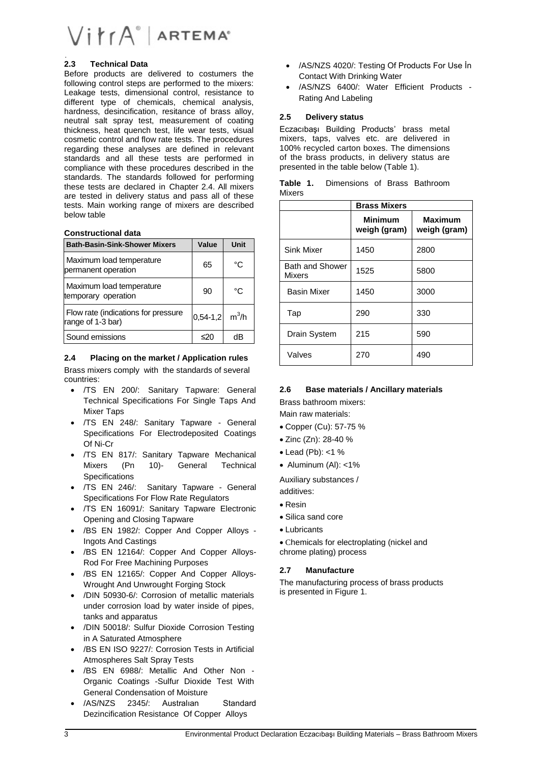#### **2.3 Technical Data**

Before products are delivered to costumers the following control steps are performed to the mixers: Leakage tests, dimensional control, resistance to different type of chemicals, chemical analysis, hardness, desincification, resitance of brass alloy, neutral salt spray test, measurement of coating thickness, heat quench test, life wear tests, visual cosmetic control and flow rate tests. The procedures regarding these analyses are defined in relevant standards and all these tests are performed in compliance with these procedures described in the standards. The standards followed for performing these tests are declared in Chapter 2.4. All mixers are tested in delivery status and pass all of these tests. Main working range of mixers are described below table

#### **Constructional data**

| <b>Bath-Basin-Sink-Shower Mixers</b>                     | Value      | Unit    |
|----------------------------------------------------------|------------|---------|
| Maximum load temperature<br>permanent operation          | 65         | °C      |
| Maximum load temperature<br>temporary operation          | 90         | °C      |
| Flow rate (indications for pressure<br>range of 1-3 bar) | $0,54-1,2$ | $m^3/h$ |
| Sound emissions                                          | ≤20        | dB      |

#### **2.4 Placing on the market / Application rules**

Brass mixers comply with the standards of several countries:

- /TS EN 200/: Sanitary Tapware: General Technical Specifications For Single Taps And Mixer Taps
- /TS EN 248/: Sanitary Tapware General Specifications For Electrodeposited Coatings Of Ni-Cr
- /TS EN 817/: Sanitary Tapware Mechanical Mixers (Pn 10)- General Technical **Specifications**
- /TS EN 246/: Sanitary Tapware General Specifications For Flow Rate Regulators
- /TS EN 16091/: Sanitary Tapware Electronic Opening and Closing Tapware
- /BS EN 1982/: Copper And Copper Alloys Ingots And Castings
- /BS EN 12164/: Copper And Copper Alloys-Rod For Free Machining Purposes
- /BS EN 12165/: Copper And Copper Alloys-Wrought And Unwrought Forging Stock
- /DIN 50930-6/: Corrosion of metallic materials under corrosion load by water inside of pipes, tanks and apparatus
- /DIN 50018/: Sulfur Dioxide Corrosion Testing in A Saturated Atmosphere
- /BS EN ISO 9227/: Corrosion Tests in Artificial Atmospheres Salt Spray Tests
- /BS EN 6988/: Metallic And Other Non Organic Coatings -Sulfur Dioxide Test With General Condensation of Moisture
- /AS/NZS 2345/: Australıan Standard Dezincification Resistance Of Copper Alloys
- /AS/NZS 4020/: Testing Of Products For Use İn Contact With Drinking Water
- /AS/NZS 6400/: Water Efficient Products Rating And Labeling

#### **2.5 Delivery status**

Eczacıbaşı Building Products' brass metal mixers, taps, valves etc. are delivered in 100% recycled carton boxes. The dimensions of the brass products, in delivery status are presented in the table below (Table 1).

|               | <b>Table 1.</b> Dimensions of Brass Bathroom |  |  |
|---------------|----------------------------------------------|--|--|
| <b>Mixers</b> |                                              |  |  |

|                                  | <b>Brass Mixers</b>            |                         |  |  |  |
|----------------------------------|--------------------------------|-------------------------|--|--|--|
|                                  | <b>Minimum</b><br>weigh (gram) | Maximum<br>weigh (gram) |  |  |  |
| Sink Mixer                       | 1450                           | 2800                    |  |  |  |
| <b>Bath and Shower</b><br>Mixers | 1525                           | 5800                    |  |  |  |
| <b>Basin Mixer</b>               | 1450                           | 3000                    |  |  |  |
| Tap                              | 290                            | 330                     |  |  |  |
| Drain System                     | 215                            | 590                     |  |  |  |
| Valves                           | 270                            | 490                     |  |  |  |

#### **2.6 Base materials / Ancillary materials**

Brass bathroom mixers:

Main raw materials:

- Copper (Cu): 57-75 %
- Zinc (Zn): 28-40 %
- $\bullet$  Lead (Pb): <1 %
- $\bullet$  Aluminum (AI): <1%

Auxiliary substances / additives:

- Resin
- Silica sand core
- Lubricants

 Chemicals for electroplating (nickel and chrome plating) process

### **2.7 Manufacture**

The manufacturing process of brass products is presented in Figure 1.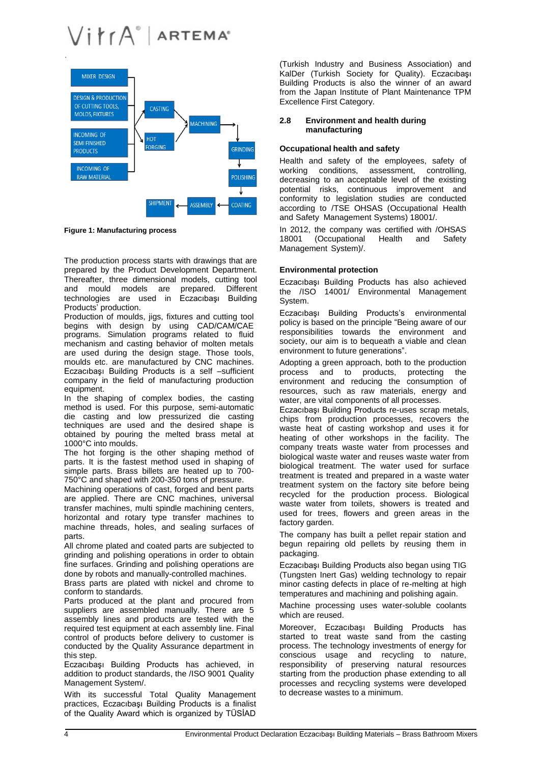

**Figure 1: Manufacturing process**

The production process starts with drawings that are prepared by the Product Development Department. Thereafter, three dimensional models, cutting tool<br>and mould models are prepared. Different and mould models are prepared. technologies are used in Eczacıbaşı Building Products' production.

Production of moulds, jigs, fixtures and cutting tool begins with design by using CAD/CAM/CAE programs. Simulation programs related to fluid mechanism and casting behavior of molten metals are used during the design stage. Those tools, moulds etc. are manufactured by CNC machines. Eczacıbaşı Building Products is a self –sufficient company in the field of manufacturing production equipment.

In the shaping of complex bodies, the casting method is used. For this purpose, semi-automatic die casting and low pressurized die casting techniques are used and the desired shape is obtained by pouring the melted brass metal at 1000°C into moulds.

The hot forging is the other shaping method of parts. It is the fastest method used in shaping of simple parts. Brass billets are heated up to 700-750°C and shaped with 200-350 tons of pressure.

Machining operations of cast, forged and bent parts are applied. There are CNC machines, universal transfer machines, multi spindle machining centers, horizontal and rotary type transfer machines to machine threads, holes, and sealing surfaces of parts.

All chrome plated and coated parts are subjected to grinding and polishing operations in order to obtain fine surfaces. Grinding and polishing operations are done by robots and manually-controlled machines.

Brass parts are plated with nickel and chrome to conform to standards.

Parts produced at the plant and procured from suppliers are assembled manually. There are 5 assembly lines and products are tested with the required test equipment at each assembly line. Final control of products before delivery to customer is conducted by the Quality Assurance department in this step.

Eczacıbaşı Building Products has achieved, in addition to product standards, the /ISO 9001 Quality Management System/.

With its successful Total Quality Management practices, Eczacıbaşı Building Products is a finalist of the Quality Award which is organized by TÜSİAD

(Turkish Industry and Business Association) and KalDer (Turkish Society for Quality). Eczacıbaşı Building Products is also the winner of an award from the Japan Institute of Plant Maintenance TPM Excellence First Category.

#### **2.8 Environment and health during manufacturing**

#### **Occupational health and safety**

Health and safety of the employees, safety of working conditions, assessment, controlling, decreasing to an acceptable level of the existing potential risks, continuous improvement and conformity to legislation studies are conducted according to /TSE OHSAS (Occupational Health and Safety Management Systems) 18001/.

In 2012, the company was certified with /OHSAS 18001 (Occupational Health and Safety Management System)/.

#### **Environmental protection**

Eczacıbaşı Building Products has also achieved the /ISO 14001/ Environmental Management System.

Eczacıbaşı Building Products's environmental policy is based on the principle "Being aware of our responsibilities towards the environment and society, our aim is to bequeath a viable and clean environment to future generations".

Adopting a green approach, both to the production process and to products, protecting the environment and reducing the consumption of resources, such as raw materials, energy and water, are vital components of all processes.

Eczacıbaşı Building Products re-uses scrap metals, chips from production processes, recovers the waste heat of casting workshop and uses it for heating of other workshops in the facility. The company treats waste water from processes and biological waste water and reuses waste water from biological treatment. The water used for surface treatment is treated and prepared in a waste water treatment system on the factory site before being recycled for the production process. Biological waste water from toilets, showers is treated and used for trees, flowers and green areas in the factory garden.

The company has built a pellet repair station and begun repairing old pellets by reusing them in packaging.

Eczacıbaşı Building Products also began using TIG (Tungsten Inert Gas) welding technology to repair minor casting defects in place of re-melting at high temperatures and machining and polishing again.

Machine processing uses water-soluble coolants which are reused.

Moreover, Eczacıbaşı Building Products has started to treat waste sand from the casting process. The technology investments of energy for conscious usage and recycling to nature, responsibility of preserving natural resources starting from the production phase extending to all processes and recycling systems were developed to decrease wastes to a minimum.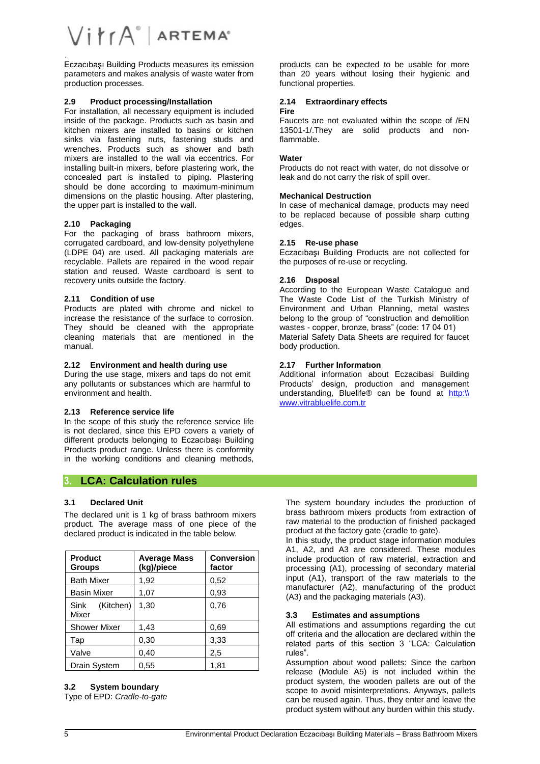## $V$  $i$  $rA^{\circ}$  Artema<sup>®</sup>

Eczacıbaşı Building Products measures its emission parameters and makes analysis of waste water from production processes.

#### **2.9 Product processing/Installation**

For installation, all necessary equipment is included inside of the package. Products such as basin and kitchen mixers are installed to basins or kitchen sinks via fastening nuts, fastening studs and wrenches. Products such as shower and bath mixers are installed to the wall via eccentrics. For installing built-in mixers, before plastering work, the concealed part is installed to piping. Plastering should be done according to maximum-minimum dimensions on the plastic housing. After plastering, the upper part is installed to the wall.

#### **2.10 Packaging**

For the packaging of brass bathroom mixers, corrugated cardboard, and low-density polyethylene (LDPE 04) are used. All packaging materials are recyclable. Pallets are repaired in the wood repair station and reused. Waste cardboard is sent to recovery units outside the factory.

#### **2.11 Condition of use**

Products are plated with chrome and nickel to increase the resistance of the surface to corrosion. They should be cleaned with the appropriate cleaning materials that are mentioned in the manual.

#### **2.12 Environment and health during use**

During the use stage, mixers and taps do not emit any pollutants or substances which are harmful to environment and health.

#### **2.13 Reference service life**

In the scope of this study the reference service life is not declared, since this EPD covers a variety of different products belonging to Eczacıbaşı Building Products product range. Unless there is conformity in the working conditions and cleaning methods,

### **3. LCA: Calculation rules**

#### **3.1 Declared Unit**

The declared unit is 1 kg of brass bathroom mixers product. The average mass of one piece of the declared product is indicated in the table below.

| <b>Product</b><br><b>Groups</b> | <b>Average Mass</b><br>(kg)/piece | <b>Conversion</b><br>factor |
|---------------------------------|-----------------------------------|-----------------------------|
| <b>Bath Mixer</b>               | 1,92                              | 0,52                        |
| <b>Basin Mixer</b>              | 1,07                              | 0.93                        |
| (Kitchen)<br>Sink<br>Mixer      | 1,30                              | 0,76                        |
| <b>Shower Mixer</b>             | 1,43                              | 0.69                        |
| Tap                             | 0,30                              | 3,33                        |
| Valve                           | 0,40                              | 2,5                         |
| Drain System                    | 0,55                              | 1,81                        |

## **3.2 System boundary**

Type of EPD: *Cradle-to-gate*

products can be expected to be usable for more than 20 years without losing their hygienic and functional properties.

## **2.14 Extraordinary effects**

#### **Fire**

Faucets are not evaluated within the scope of /EN 13501-1/.They are solid products and nonflammable.

#### **Water**

Products do not react with water, do not dissolve or leak and do not carry the risk of spill over.

#### **Mechanical Destruction**

In case of mechanical damage, products may need to be replaced because of possible sharp cuttıng edges.

#### **2.15 Re-use phase**

Eczacıbaşı Building Products are not collected for the purposes of re-use or recycling.

#### **2.16 Dısposal**

According to the European Waste Catalogue and The Waste Code List of the Turkish Ministry of Environment and Urban Planning, metal wastes belong to the group of "construction and demolition wastes - copper, bronze, brass" (code: 17 04 01) Material Safety Data Sheets are required for faucet body production.

#### **2.17 Further Informatıon**

Additional information about Eczacibasi Building Products' design, production and management understanding, Bluelife® can be found at [http:\\](http://www.vitrabluelife.com.tr/) [www.vitrabluelife.com.tr](http://www.vitrabluelife.com.tr/)

The system boundary includes the production of brass bathroom mixers products from extraction of raw material to the production of finished packaged product at the factory gate (cradle to gate).

In this study, the product stage information modules A1, A2, and A3 are considered. These modules include production of raw material, extraction and processing (A1), processing of secondary material input (A1), transport of the raw materials to the manufacturer (A2), manufacturing of the product (A3) and the packaging materials (A3).

#### **3.3 Estimates and assumptions**

All estimations and assumptions regarding the cut off criteria and the allocation are declared within the related parts of this section 3 "LCA: Calculation rules".

Assumption about wood pallets: Since the carbon release (Module A5) is not included within the product system, the wooden pallets are out of the scope to avoid misinterpretations. Anyways, pallets can be reused again. Thus, they enter and leave the product system without any burden within this study.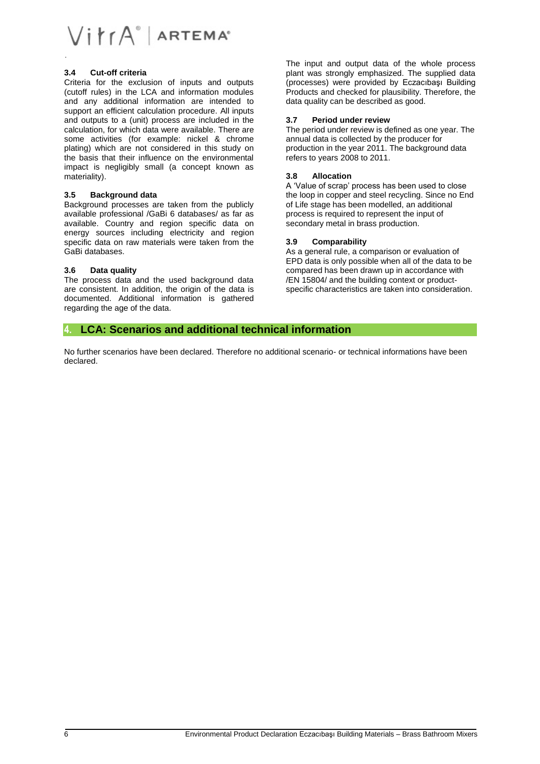

#### **3.4 Cut-off criteria**

Criteria for the exclusion of inputs and outputs (cutoff rules) in the LCA and information modules and any additional information are intended to support an efficient calculation procedure. All inputs and outputs to a (unit) process are included in the calculation, for which data were available. There are some activities (for example: nickel & chrome plating) which are not considered in this study on the basis that their influence on the environmental impact is negligibly small (a concept known as materiality).

#### **3.5 Background data**

Background processes are taken from the publicly available professional /GaBi 6 databases/ as far as available. Country and region specific data on energy sources including electricity and region specific data on raw materials were taken from the GaBi databases.

#### **3.6 Data quality**

The process data and the used background data are consistent. In addition, the origin of the data is documented. Additional information is gathered regarding the age of the data.

The input and output data of the whole process plant was strongly emphasized. The supplied data (processes) were provided by Eczacıbaşı Building Products and checked for plausibility. Therefore, the data quality can be described as good.

#### **3.7 Period under review**

The period under review is defined as one year. The annual data is collected by the producer for production in the year 2011. The background data refers to years 2008 to 2011.

#### **3.8 Allocation**

A 'Value of scrap' process has been used to close the loop in copper and steel recycling. Since no End of Life stage has been modelled, an additional process is required to represent the input of secondary metal in brass production.

#### **3.9 Comparability**

As a general rule, a comparison or evaluation of EPD data is only possible when all of the data to be compared has been drawn up in accordance with /EN 15804/ and the building context or productspecific characteristics are taken into consideration.

### **4. LCA: Scenarios and additional technical information**

No further scenarios have been declared. Therefore no additional scenario- or technical informations have been declared.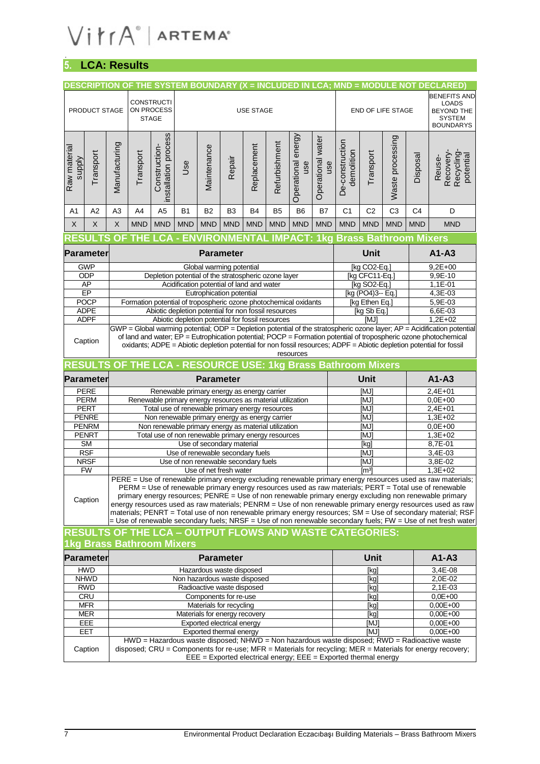# $V$  $i$  $\uparrow$  $rA^{\circ}$  | ARTEMA<sup> $\circ$ </sup>

## **5. LCA: Results**

|                               |                             | DESCRIPTION OF THE SYSTEM BOUNDARY (X = INCLUDED IN LCA; MND = MODULE NOT DECLARED)         |              |                                                                                                                                                                                                                                  |            |                |                                                                                                        |            |            |                                                                  |                          |                |                                                   |                |                |                                                                                                                                                                                                                                                                                                                                                                                                                                                                                                                                                          |
|-------------------------------|-----------------------------|---------------------------------------------------------------------------------------------|--------------|----------------------------------------------------------------------------------------------------------------------------------------------------------------------------------------------------------------------------------|------------|----------------|--------------------------------------------------------------------------------------------------------|------------|------------|------------------------------------------------------------------|--------------------------|----------------|---------------------------------------------------|----------------|----------------|----------------------------------------------------------------------------------------------------------------------------------------------------------------------------------------------------------------------------------------------------------------------------------------------------------------------------------------------------------------------------------------------------------------------------------------------------------------------------------------------------------------------------------------------------------|
|                               | PRODUCT STAGE               | <b>CONSTRUCTI</b><br>ON PROCESS<br><b>USE STAGE</b>                                         |              |                                                                                                                                                                                                                                  |            |                |                                                                                                        |            |            |                                                                  | <b>END OF LIFE STAGE</b> |                | <b>BENEFITS AND</b><br><b>LOADS</b><br>BEYOND THE |                |                |                                                                                                                                                                                                                                                                                                                                                                                                                                                                                                                                                          |
|                               |                             |                                                                                             | <b>STAGE</b> |                                                                                                                                                                                                                                  |            |                |                                                                                                        |            |            |                                                                  |                          |                |                                                   |                |                | <b>SYSTEM</b><br><b>BOUNDARYS</b>                                                                                                                                                                                                                                                                                                                                                                                                                                                                                                                        |
| Raw material<br><b>Alddns</b> | Transport                   | Manufacturing                                                                               | Transport    | installation process<br>Operational energy<br>Waste processing<br>Operational water<br>De-construction<br>Refurbishment<br>Replacement<br>Construction-<br>Maintenance<br>demolition<br>Transport<br>Repair<br>Jse<br>use<br>use |            |                |                                                                                                        |            | Disposal   | Recovery-<br>Recycling<br>potential<br>Reuse-                    |                          |                |                                                   |                |                |                                                                                                                                                                                                                                                                                                                                                                                                                                                                                                                                                          |
| A1                            | A2                          | A3                                                                                          | A4           | A <sub>5</sub>                                                                                                                                                                                                                   | <b>B1</b>  | B <sub>2</sub> | B <sub>3</sub>                                                                                         | B4         | <b>B5</b>  | B <sub>6</sub>                                                   | <b>B7</b>                | C <sub>1</sub> | C <sub>2</sub>                                    | C <sub>3</sub> | C <sub>4</sub> | D                                                                                                                                                                                                                                                                                                                                                                                                                                                                                                                                                        |
| $\times$                      | $\sf X$                     | X                                                                                           | <b>MND</b>   | <b>MND</b>                                                                                                                                                                                                                       | <b>MND</b> | <b>MND</b>     | <b>MND</b>                                                                                             | <b>MND</b> | <b>MND</b> | <b>MND</b>                                                       | <b>MND</b>               | <b>MND</b>     | <b>MND</b>                                        | <b>MND</b>     | <b>MND</b>     | <b>MND</b>                                                                                                                                                                                                                                                                                                                                                                                                                                                                                                                                               |
|                               |                             | <b>RESULTS OF THE LCA - ENVIRONMENTAL IMPACT: 1kg Brass Bathroom Mixers</b>                 |              |                                                                                                                                                                                                                                  |            |                |                                                                                                        |            |            |                                                                  |                          |                |                                                   |                |                |                                                                                                                                                                                                                                                                                                                                                                                                                                                                                                                                                          |
|                               | <b>Parameter</b>            |                                                                                             |              |                                                                                                                                                                                                                                  |            |                | <b>Parameter</b>                                                                                       |            |            |                                                                  |                          |                | Unit                                              |                |                | $A1 - A3$                                                                                                                                                                                                                                                                                                                                                                                                                                                                                                                                                |
|                               | <b>GWP</b>                  |                                                                                             |              |                                                                                                                                                                                                                                  |            |                | Global warming potential                                                                               |            |            |                                                                  |                          |                | [kg CO2-Eq.]                                      |                |                | $9,2E+00$                                                                                                                                                                                                                                                                                                                                                                                                                                                                                                                                                |
|                               | ODP                         |                                                                                             |              |                                                                                                                                                                                                                                  |            |                | Depletion potential of the stratospheric ozone layer                                                   |            |            |                                                                  |                          |                | [kg CFC11-Eq.]                                    |                |                | 9,9E-10                                                                                                                                                                                                                                                                                                                                                                                                                                                                                                                                                  |
|                               | AP<br>EP                    |                                                                                             |              |                                                                                                                                                                                                                                  |            |                | Acidification potential of land and water<br>Eutrophication potential                                  |            |            |                                                                  |                          |                | [kg SO2-Eq.]<br>[kg (PO4)3-- Eq.]                 |                |                | $1,1E-01$<br>4,3E-03                                                                                                                                                                                                                                                                                                                                                                                                                                                                                                                                     |
|                               | <b>POCP</b>                 |                                                                                             |              |                                                                                                                                                                                                                                  |            |                |                                                                                                        |            |            | Formation potential of tropospheric ozone photochemical oxidants |                          |                | [kg Ethen Eq.]                                    |                |                | 5,9E-03                                                                                                                                                                                                                                                                                                                                                                                                                                                                                                                                                  |
|                               | <b>ADPE</b>                 |                                                                                             |              |                                                                                                                                                                                                                                  |            |                | Abiotic depletion potential for non fossil resources                                                   |            |            |                                                                  |                          |                | [kg Sb Eq.]                                       |                |                | $6,6E-03$                                                                                                                                                                                                                                                                                                                                                                                                                                                                                                                                                |
|                               | <b>ADPF</b>                 |                                                                                             |              |                                                                                                                                                                                                                                  |            |                | Abiotic depletion potential for fossil resources                                                       |            |            |                                                                  |                          |                | [MJ]                                              |                |                | $1,2E+02$                                                                                                                                                                                                                                                                                                                                                                                                                                                                                                                                                |
|                               | Caption                     |                                                                                             |              |                                                                                                                                                                                                                                  |            |                |                                                                                                        |            |            |                                                                  |                          |                |                                                   |                |                | GWP = Global warming potential; ODP = Depletion potential of the stratospheric ozone layer; AP = Acidification potential<br>of land and water; EP = Eutrophication potential; POCP = Formation potential of tropospheric ozone photochemical<br>oxidants; ADPE = Abiotic depletion potential for non fossil resources; ADPF = Abiotic depletion potential for fossil                                                                                                                                                                                     |
|                               |                             |                                                                                             |              |                                                                                                                                                                                                                                  |            |                |                                                                                                        |            |            | resources                                                        |                          |                |                                                   |                |                |                                                                                                                                                                                                                                                                                                                                                                                                                                                                                                                                                          |
|                               |                             | RESULTS OF THE LCA - RESOURCE USE: 1kg Brass Bathroom Mixers                                |              |                                                                                                                                                                                                                                  |            |                |                                                                                                        |            |            |                                                                  |                          |                |                                                   |                |                |                                                                                                                                                                                                                                                                                                                                                                                                                                                                                                                                                          |
|                               |                             | <b>Parameter</b>                                                                            |              |                                                                                                                                                                                                                                  |            |                |                                                                                                        |            |            |                                                                  |                          |                |                                                   |                |                |                                                                                                                                                                                                                                                                                                                                                                                                                                                                                                                                                          |
| <b>Parameter</b>              |                             |                                                                                             |              |                                                                                                                                                                                                                                  |            |                |                                                                                                        |            |            |                                                                  |                          |                | <b>Unit</b>                                       |                |                | $A1 - A3$                                                                                                                                                                                                                                                                                                                                                                                                                                                                                                                                                |
|                               | <b>PERE</b>                 |                                                                                             |              |                                                                                                                                                                                                                                  |            |                | Renewable primary energy as energy carrier                                                             |            |            |                                                                  |                          |                | [MJ]                                              |                |                | $2,4E+01$                                                                                                                                                                                                                                                                                                                                                                                                                                                                                                                                                |
|                               | <b>PERM</b>                 |                                                                                             |              |                                                                                                                                                                                                                                  |            |                | Renewable primary energy resources as material utilization                                             |            |            |                                                                  |                          |                | [MJ]                                              |                |                | $0,0E+00$                                                                                                                                                                                                                                                                                                                                                                                                                                                                                                                                                |
|                               | <b>PERT</b><br><b>PENRE</b> |                                                                                             |              |                                                                                                                                                                                                                                  |            |                | Total use of renewable primary energy resources                                                        |            |            |                                                                  |                          |                | [MJ]<br>[MJ]                                      |                |                | $2,4E+01$<br>$1,3E+02$                                                                                                                                                                                                                                                                                                                                                                                                                                                                                                                                   |
|                               | <b>PENRM</b>                |                                                                                             |              |                                                                                                                                                                                                                                  |            |                | Non renewable primary energy as energy carrier<br>Non renewable primary energy as material utilization |            |            |                                                                  |                          |                | [MJ]                                              |                |                | $0,0E+00$                                                                                                                                                                                                                                                                                                                                                                                                                                                                                                                                                |
|                               | <b>PENRT</b>                |                                                                                             |              |                                                                                                                                                                                                                                  |            |                | Total use of non renewable primary energy resources                                                    |            |            |                                                                  |                          |                | [MJ]                                              |                |                | $1,3E+02$                                                                                                                                                                                                                                                                                                                                                                                                                                                                                                                                                |
|                               | <b>SM</b>                   |                                                                                             |              |                                                                                                                                                                                                                                  |            |                | Use of secondary material                                                                              |            |            |                                                                  |                          |                | [kg]                                              |                |                | 8,7E-01                                                                                                                                                                                                                                                                                                                                                                                                                                                                                                                                                  |
|                               | <b>RSF</b>                  |                                                                                             |              |                                                                                                                                                                                                                                  |            |                | Use of renewable secondary fuels                                                                       |            |            |                                                                  |                          |                | [MJ]                                              |                |                | $3,4E-03$                                                                                                                                                                                                                                                                                                                                                                                                                                                                                                                                                |
|                               | <b>NRSF</b><br><b>FW</b>    |                                                                                             |              |                                                                                                                                                                                                                                  |            |                | Use of non renewable secondary fuels<br>Use of net fresh water                                         |            |            |                                                                  |                          |                | [MJ]<br>$\overline{\text{Im}^3}$                  |                |                | 3,8E-02<br>$1,3E+02$                                                                                                                                                                                                                                                                                                                                                                                                                                                                                                                                     |
|                               | Caption                     |                                                                                             |              |                                                                                                                                                                                                                                  |            |                |                                                                                                        |            |            |                                                                  |                          |                |                                                   |                |                | PERE = Use of renewable primary energy excluding renewable primary energy resources used as raw materials;<br>PERM = Use of renewable primary energy resources used as raw materials; PERT = Total use of renewable<br>primary energy resources; PENRE = Use of non renewable primary energy excluding non renewable primary<br>energy resources used as raw materials; PENRM = Use of non renewable primary energy resources used as raw<br>materials; PENRT = Total use of non renewable primary energy resources; SM = Use of secondary material; RSF |
|                               |                             | <b>RESULTS OF THE LCA – OUTPUT FLOWS AND WASTE CATEGORIES:</b><br>1kg Brass Bathroom Mixers |              |                                                                                                                                                                                                                                  |            |                |                                                                                                        |            |            |                                                                  |                          |                |                                                   |                |                |                                                                                                                                                                                                                                                                                                                                                                                                                                                                                                                                                          |
|                               | <b>Parameter</b>            |                                                                                             |              |                                                                                                                                                                                                                                  |            |                | <b>Parameter</b>                                                                                       |            |            |                                                                  |                          |                | Unit                                              |                |                | $A1 - A3$                                                                                                                                                                                                                                                                                                                                                                                                                                                                                                                                                |
|                               | <b>HWD</b>                  |                                                                                             |              |                                                                                                                                                                                                                                  |            |                | Hazardous waste disposed                                                                               |            |            |                                                                  |                          |                | [kg]                                              |                |                | 3,4E-08                                                                                                                                                                                                                                                                                                                                                                                                                                                                                                                                                  |
|                               | <b>NHWD</b>                 |                                                                                             |              |                                                                                                                                                                                                                                  |            |                | Non hazardous waste disposed                                                                           |            |            |                                                                  |                          |                | [kg]                                              |                |                | 2.0E-02                                                                                                                                                                                                                                                                                                                                                                                                                                                                                                                                                  |
|                               | <b>RWD</b>                  |                                                                                             |              |                                                                                                                                                                                                                                  |            |                | Radioactive waste disposed                                                                             |            |            |                                                                  |                          |                | [kg]                                              |                |                | = Use of renewable secondary fuels; NRSF = Use of non renewable secondary fuels; FW = Use of net fresh water<br>2,1E-03                                                                                                                                                                                                                                                                                                                                                                                                                                  |
|                               | <b>CRU</b>                  |                                                                                             |              |                                                                                                                                                                                                                                  |            |                | Components for re-use                                                                                  |            |            |                                                                  |                          |                | [kg]                                              |                |                | $0,0E+00$                                                                                                                                                                                                                                                                                                                                                                                                                                                                                                                                                |
|                               | <b>MFR</b><br><b>MER</b>    |                                                                                             |              |                                                                                                                                                                                                                                  |            |                | Materials for recycling<br>Materials for energy recovery                                               |            |            |                                                                  |                          |                | [kg]                                              |                |                | 0,00E+00<br>$0,00E + 00$                                                                                                                                                                                                                                                                                                                                                                                                                                                                                                                                 |
|                               | EEE                         |                                                                                             |              |                                                                                                                                                                                                                                  |            |                | Exported electrical energy                                                                             |            |            |                                                                  |                          |                | [kg]<br>[MJ]                                      |                |                | $0,00E + 00$                                                                                                                                                                                                                                                                                                                                                                                                                                                                                                                                             |
|                               | EET                         |                                                                                             |              |                                                                                                                                                                                                                                  |            |                | Exported thermal energy                                                                                |            |            |                                                                  |                          |                | imji                                              |                |                | $0,00E+00$<br>HWD = Hazardous waste disposed; NHWD = Non hazardous waste disposed; RWD = Radioactive waste                                                                                                                                                                                                                                                                                                                                                                                                                                               |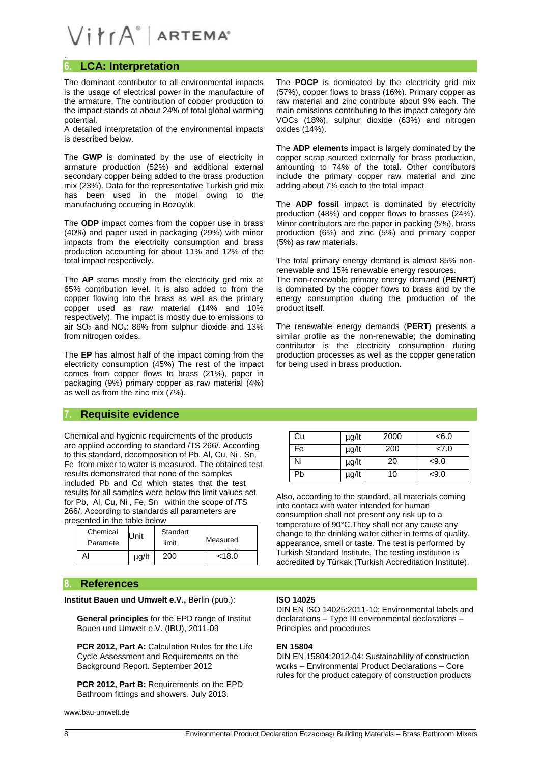## $V$  $i$  $rA^{\circ}$  Artema<sup>®</sup>

## **6. LCA: Interpretation**

The dominant contributor to all environmental impacts is the usage of electrical power in the manufacture of the armature. The contribution of copper production to the impact stands at about 24% of total global warming potential.

A detailed interpretation of the environmental impacts is described below.

The **GWP** is dominated by the use of electricity in armature production (52%) and additional external secondary copper being added to the brass production mix (23%). Data for the representative Turkish grid mix has been used in the model owing to the manufacturing occurring in Bozüyük.

The **ODP** impact comes from the copper use in brass (40%) and paper used in packaging (29%) with minor impacts from the electricity consumption and brass production accounting for about 11% and 12% of the total impact respectively.

The **AP** stems mostly from the electricity grid mix at 65% contribution level. It is also added to from the copper flowing into the brass as well as the primary copper used as raw material (14% and 10% respectively). The impact is mostly due to emissions to air  $SO_2$  and  $NO_x$ : 86% from sulphur dioxide and 13% from nitrogen oxides.

The **EP** has almost half of the impact coming from the electricity consumption (45%) The rest of the impact comes from copper flows to brass (21%), paper in packaging (9%) primary copper as raw material (4%) as well as from the zinc mix (7%).

## **7. Requisite evidence**

Chemical and hygienic requirements of the products are applied according to standard /TS 266/. According to this standard, decomposition of Pb, Al, Cu, Ni , Sn, Fe from mixer to water is measured. The obtained test results demonstrated that none of the samples included Pb and Cd which states that the test results for all samples were below the limit values set for Pb, Al, Cu, Ni , Fe, Sn within the scope of /TS 266/. According to standards all parameters are presented in the table below

| Chemical<br>Paramete | <b>Unit</b> | Standart<br>limit | Measured |  |
|----------------------|-------------|-------------------|----------|--|
|                      |             |                   |          |  |
|                      | µg/lt       | 200               | < 18.0   |  |

### **8. References**

**Institut Bauen und Umwelt e.V.,** Berlin (pub.):

**General principles** for the EPD range of Institut Bauen und Umwelt e.V. (IBU), 2011-09

**PCR 2012, Part A: Calculation Rules for the Life** Cycle Assessment and Requirements on the Background Report. September 2012

**PCR 2012, Part B:** Requirements on the EPD Bathroom fittings and showers. July 2013.

[www.bau-umwelt.de](http://www.bau-umwelt.de/)

The **POCP** is dominated by the electricity grid mix (57%), copper flows to brass (16%). Primary copper as raw material and zinc contribute about 9% each. The main emissions contributing to this impact category are VOCs (18%), sulphur dioxide (63%) and nitrogen oxides (14%).

The **ADP elements** impact is largely dominated by the copper scrap sourced externally for brass production, amounting to 74% of the total. Other contributors include the primary copper raw material and zinc adding about 7% each to the total impact.

The **ADP fossil** impact is dominated by electricity production (48%) and copper flows to brasses (24%). Minor contributors are the paper in packing (5%), brass production (6%) and zinc (5%) and primary copper (5%) as raw materials.

The total primary energy demand is almost 85% nonrenewable and 15% renewable energy resources. The non-renewable primary energy demand (**PENRT**) is dominated by the copper flows to brass and by the energy consumption during the production of the product itself.

The renewable energy demands (**PERT**) presents a similar profile as the non-renewable; the dominating contributor is the electricity consumption during production processes as well as the copper generation for being used in brass production.

| Cu | µg/lt | 2000 | < 6.0 |
|----|-------|------|-------|
| Fe | µg/lt | 200  | 27.0  |
| Ni | µg/lt | 20   | < 9.0 |
| Pb | µg/lt | 10   | < 9.0 |

Also, according to the standard, all materials coming into contact with water intended for human consumption shall not present any risk up to a temperature of 90°C.They shall not any cause any change to the drinking water either in terms of quality, appearance, smell or taste. The test is performed by Turkish Standard Institute. The testing institution is accredited by Türkak (Turkish Accreditation Institute).

#### **ISO 14025**

DIN EN ISO 14025:2011-10: Environmental labels and declarations – Type III environmental declarations – Principles and procedures

#### **EN 15804**

DIN EN 15804:2012-04: Sustainability of construction works – Environmental Product Declarations – Core rules for the product category of construction products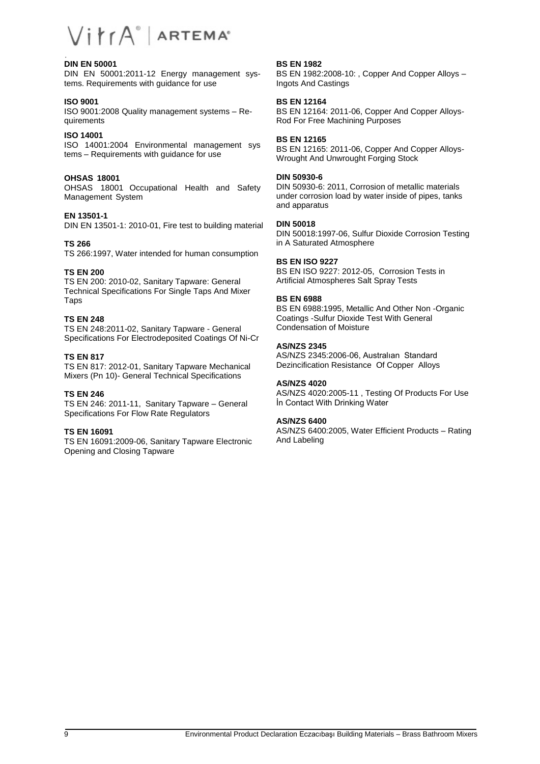#### **DIN EN 50001**

DIN EN 50001:2011-12 Energy management systems. Requirements with guidance for use

#### **ISO 9001**

ISO 9001:2008 Quality management systems – Requirements

#### **ISO 14001**

ISO 14001:2004 Environmental management sys tems – Requirements with guidance for use

### **OHSAS 18001**

OHSAS 18001 Occupational Health and Safety Management System

#### **EN 13501-1**

DIN EN 13501-1: 2010-01, Fire test to building material

#### **TS 266**

TS 266:1997, Water intended for human consumption

#### **TS EN 200**

TS EN 200: 2010-02, Sanitary Tapware: General Technical Specifications For Single Taps And Mixer Taps

#### **TS EN 248**

TS EN 248:2011-02, Sanitary Tapware - General Specifications For Electrodeposited Coatings Of Ni-Cr

#### **TS EN 817**

TS EN 817: 2012-01, Sanitary Tapware Mechanical Mixers (Pn 10)- General Technical Specifications

#### **TS EN 246**

TS EN 246: 2011-11, Sanitary Tapware – General Specifications For Flow Rate Regulators

#### **TS EN 16091**

TS EN 16091:2009-06, Sanitary Tapware Electronic Opening and Closing Tapware

#### **BS EN 1982**

BS EN 1982:2008-10: , Copper And Copper Alloys – Ingots And Castings

#### **BS EN 12164**

BS EN 12164: 2011-06, Copper And Copper Alloys-Rod For Free Machining Purposes

#### **BS EN 12165**

BS EN 12165: 2011-06, Copper And Copper Alloys-Wrought And Unwrought Forging Stock

## **DIN 50930-6**

DIN 50930-6: 2011, Corrosion of metallic materials under corrosion load by water inside of pipes, tanks and apparatus

#### **DIN 50018**

DIN 50018:1997-06, Sulfur Dioxide Corrosion Testing in A Saturated Atmosphere

#### **BS EN ISO 9227**

BS EN ISO 9227: 2012-05, Corrosion Tests in Artificial Atmospheres Salt Spray Tests

#### **BS EN 6988**

BS EN 6988:1995, Metallic And Other Non -Organic Coatings -Sulfur Dioxide Test With General Condensation of Moisture

#### **AS/NZS 2345**

AS/NZS 2345:2006-06, Australıan Standard Dezincification Resistance Of Copper Alloys

#### **AS/NZS 4020**

AS/NZS 4020:2005-11 , Testing Of Products For Use İn Contact With Drinking Water

#### **AS/NZS 6400**

AS/NZS 6400:2005, Water Efficient Products – Rating And Labeling